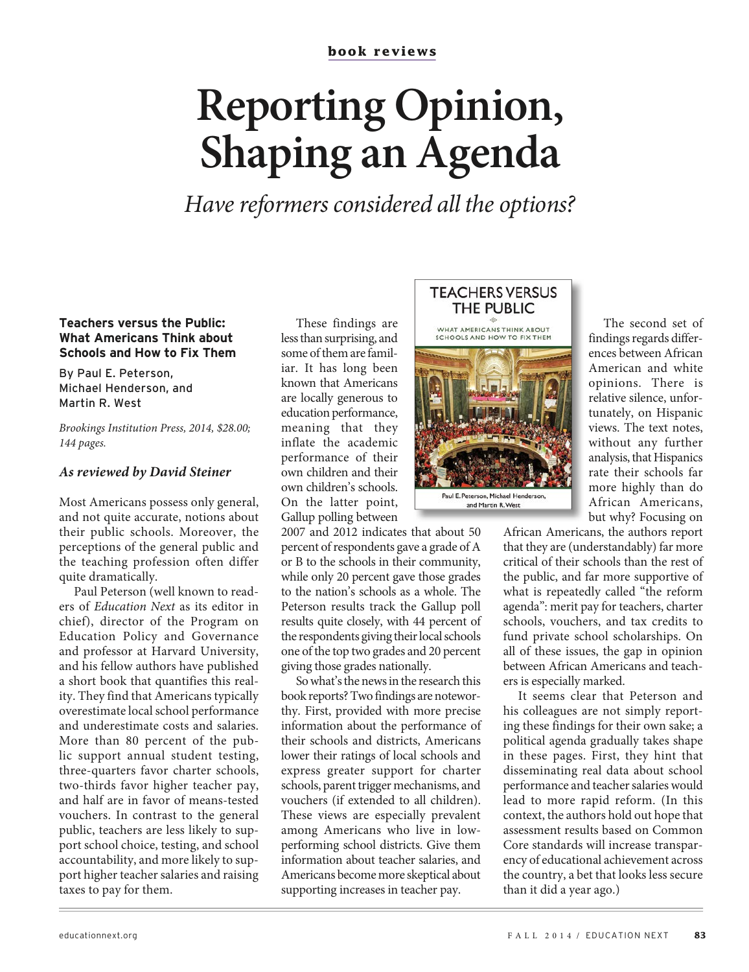## **Reporting Opinion, Shaping an Agenda**

Have reformers considered all the options?

## **Teachers versus the Public: What Americans Think about Schools and How to Fix Them**

By Paul E. Peterson, Michael Henderson, and Martin R. West

Brookings Institution Press, 2014, \$28.00; 144 pages.

## **As reviewed by David Steiner**

Most Americans possess only general, and not quite accurate, notions about their public schools. Moreover, the perceptions of the general public and the teaching profession often differ quite dramatically.

Paul Peterson (well known to readers of Education Next as its editor in chief), director of the Program on Education Policy and Governance and professor at Harvard University, and his fellow authors have published a short book that quantifies this reality. They find that Americans typically overestimate local school performance and underestimate costs and salaries. More than 80 percent of the public support annual student testing, three-quarters favor charter schools, two-thirds favor higher teacher pay, and half are in favor of means-tested vouchers. In contrast to the general public, teachers are less likely to support school choice, testing, and school accountability, and more likely to support higher teacher salaries and raising taxes to pay for them.

These findings are less than surprising, and some of them are familiar. It has long been known that Americans are locally generous to education performance, meaning that they inflate the academic performance of their own children and their own children's schools. On the latter point, Gallup polling between

2007 and 2012 indicates that about 50 percent of respondents gave a grade of A or B to the schools in their community, while only 20 percent gave those grades to the nation's schools as a whole. The Peterson results track the Gallup poll results quite closely, with 44 percent of the respondents giving their local schools one of the top two grades and 20 percent giving those grades nationally.

So what's the news in the research this book reports? Two findings are noteworthy. First, provided with more precise information about the performance of their schools and districts, Americans lower their ratings of local schools and express greater support for charter schools, parent trigger mechanisms, and vouchers (if extended to all children). These views are especially prevalent among Americans who live in lowperforming school districts. Give them information about teacher salaries, and Americans become more skeptical about supporting increases in teacher pay.

## THE PUBLIC WHAT AMERICANS THINK ABOUT<br>SCHOOLS AND HOW TO FIX THEM Paul E. Peterson, Michael Henderson

**TEACHERS VERSUS** 

and Martin R. West

The second set of findings regards differences between African American and white opinions. There is relative silence, unfortunately, on Hispanic views. The text notes, without any further analysis, that Hispanics rate their schools far more highly than do African Americans, but why? Focusing on

African Americans, the authors report that they are (understandably) far more critical of their schools than the rest of the public, and far more supportive of what is repeatedly called "the reform agenda": merit pay for teachers, charter schools, vouchers, and tax credits to fund private school scholarships. On all of these issues, the gap in opinion between African Americans and teachers is especially marked.

It seems clear that Peterson and his colleagues are not simply reporting these findings for their own sake; a political agenda gradually takes shape in these pages. First, they hint that disseminating real data about school performance and teacher salaries would lead to more rapid reform. (In this context, the authors hold out hope that assessment results based on Common Core standards will increase transparency of educational achievement across the country, a bet that looks less secure than it did a year ago.)